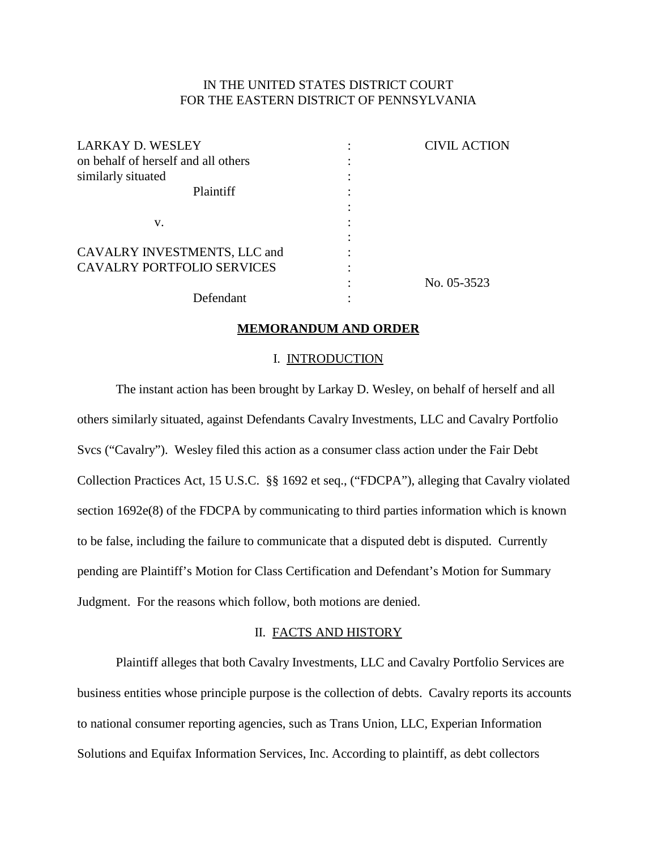# IN THE UNITED STATES DISTRICT COURT FOR THE EASTERN DISTRICT OF PENNSYLVANIA

| <b>LARKAY D. WESLEY</b>             | <b>CIVIL ACTION</b> |
|-------------------------------------|---------------------|
| on behalf of herself and all others |                     |
| similarly situated                  |                     |
| <b>Plaintiff</b>                    |                     |
|                                     |                     |
| v.                                  |                     |
|                                     |                     |
| CAVALRY INVESTMENTS, LLC and        |                     |
| <b>CAVALRY PORTFOLIO SERVICES</b>   |                     |
|                                     | No. 05-3523         |
| Defendant                           |                     |

#### **MEMORANDUM AND ORDER**

#### I. INTRODUCTION

The instant action has been brought by Larkay D. Wesley, on behalf of herself and all others similarly situated, against Defendants Cavalry Investments, LLC and Cavalry Portfolio Svcs ("Cavalry"). Wesley filed this action as a consumer class action under the Fair Debt Collection Practices Act, 15 U.S.C. §§ 1692 et seq., ("FDCPA"), alleging that Cavalry violated section 1692e(8) of the FDCPA by communicating to third parties information which is known to be false, including the failure to communicate that a disputed debt is disputed. Currently pending are Plaintiff's Motion for Class Certification and Defendant's Motion for Summary Judgment. For the reasons which follow, both motions are denied.

## II. FACTS AND HISTORY

Plaintiff alleges that both Cavalry Investments, LLC and Cavalry Portfolio Services are business entities whose principle purpose is the collection of debts. Cavalry reports its accounts to national consumer reporting agencies, such as Trans Union, LLC, Experian Information Solutions and Equifax Information Services, Inc. According to plaintiff, as debt collectors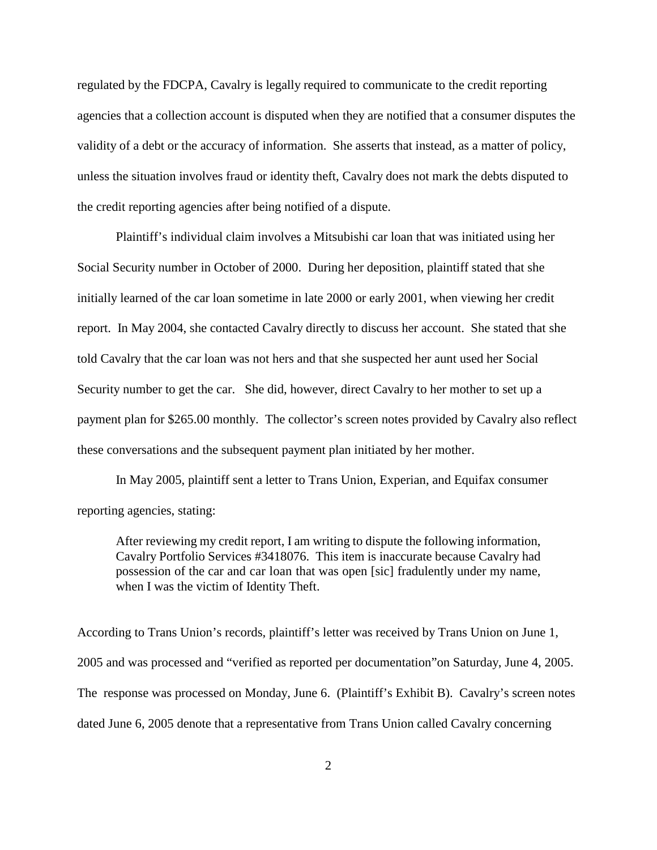regulated by the FDCPA, Cavalry is legally required to communicate to the credit reporting agencies that a collection account is disputed when they are notified that a consumer disputes the validity of a debt or the accuracy of information. She asserts that instead, as a matter of policy, unless the situation involves fraud or identity theft, Cavalry does not mark the debts disputed to the credit reporting agencies after being notified of a dispute.

Plaintiff's individual claim involves a Mitsubishi car loan that was initiated using her Social Security number in October of 2000. During her deposition, plaintiff stated that she initially learned of the car loan sometime in late 2000 or early 2001, when viewing her credit report. In May 2004, she contacted Cavalry directly to discuss her account. She stated that she told Cavalry that the car loan was not hers and that she suspected her aunt used her Social Security number to get the car. She did, however, direct Cavalry to her mother to set up a payment plan for \$265.00 monthly. The collector's screen notes provided by Cavalry also reflect these conversations and the subsequent payment plan initiated by her mother.

In May 2005, plaintiff sent a letter to Trans Union, Experian, and Equifax consumer reporting agencies, stating:

After reviewing my credit report, I am writing to dispute the following information, Cavalry Portfolio Services #3418076. This item is inaccurate because Cavalry had possession of the car and car loan that was open [sic] fradulently under my name, when I was the victim of Identity Theft.

According to Trans Union's records, plaintiff's letter was received by Trans Union on June 1, 2005 and was processed and "verified as reported per documentation"on Saturday, June 4, 2005. The response was processed on Monday, June 6. (Plaintiff's Exhibit B). Cavalry's screen notes dated June 6, 2005 denote that a representative from Trans Union called Cavalry concerning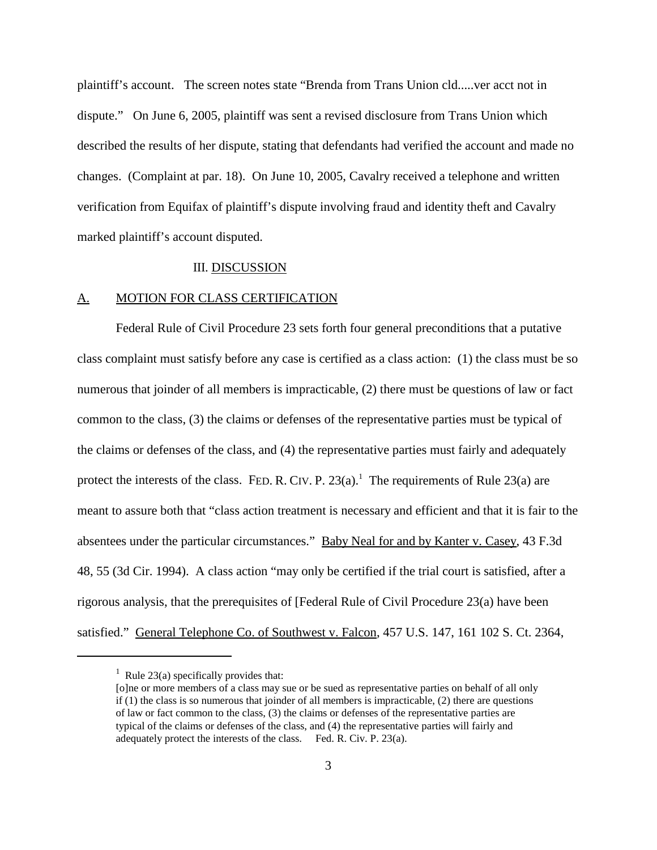plaintiff's account. The screen notes state "Brenda from Trans Union cld.....ver acct not in dispute." On June 6, 2005, plaintiff was sent a revised disclosure from Trans Union which described the results of her dispute, stating that defendants had verified the account and made no changes. (Complaint at par. 18). On June 10, 2005, Cavalry received a telephone and written verification from Equifax of plaintiff's dispute involving fraud and identity theft and Cavalry marked plaintiff's account disputed.

## III. DISCUSSION

#### A. MOTION FOR CLASS CERTIFICATION

Federal Rule of Civil Procedure 23 sets forth four general preconditions that a putative class complaint must satisfy before any case is certified as a class action: (1) the class must be so numerous that joinder of all members is impracticable, (2) there must be questions of law or fact common to the class, (3) the claims or defenses of the representative parties must be typical of the claims or defenses of the class, and (4) the representative parties must fairly and adequately protect the interests of the class. FED. R. CIV. P.  $23(a)$ .<sup>1</sup> The requirements of Rule  $23(a)$  are meant to assure both that "class action treatment is necessary and efficient and that it is fair to the absentees under the particular circumstances." Baby Neal for and by Kanter v. Casey, 43 F.3d 48, 55 (3d Cir. 1994). A class action "may only be certified if the trial court is satisfied, after a rigorous analysis, that the prerequisites of [Federal Rule of Civil Procedure 23(a) have been satisfied." General Telephone Co. of Southwest v. Falcon, 457 U.S. 147, 161 102 S. Ct. 2364,

<sup>&</sup>lt;sup>1</sup> Rule 23(a) specifically provides that:

<sup>[</sup>o]ne or more members of a class may sue or be sued as representative parties on behalf of all only if (1) the class is so numerous that joinder of all members is impracticable, (2) there are questions of law or fact common to the class, (3) the claims or defenses of the representative parties are typical of the claims or defenses of the class, and (4) the representative parties will fairly and adequately protect the interests of the class. Fed. R. Civ. P. 23(a).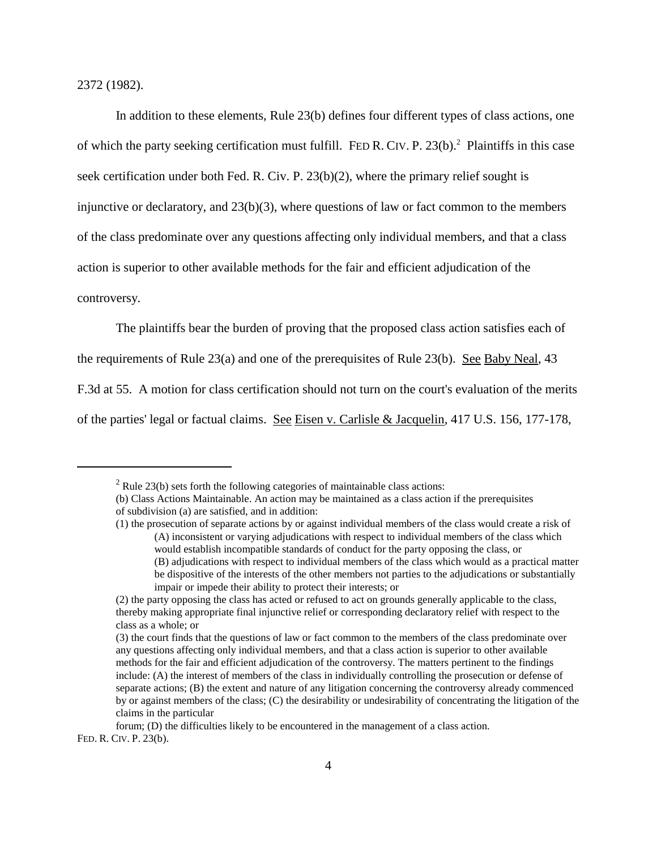2372 (1982).

In addition to these elements, Rule 23(b) defines four different types of class actions, one of which the party seeking certification must fulfill. FED R. CIV. P. 23(b).<sup>2</sup> Plaintiffs in this case seek certification under both Fed. R. Civ. P. 23(b)(2), where the primary relief sought is injunctive or declaratory, and  $23(b)(3)$ , where questions of law or fact common to the members of the class predominate over any questions affecting only individual members, and that a class action is superior to other available methods for the fair and efficient adjudication of the controversy.

The plaintiffs bear the burden of proving that the proposed class action satisfies each of

the requirements of Rule  $23(a)$  and one of the prerequisites of Rule  $23(b)$ . See Baby Neal, 43

F.3d at 55. A motion for class certification should not turn on the court's evaluation of the merits

of the parties' legal or factual claims. See Eisen v. Carlisle & Jacquelin, 417 U.S. 156, 177-178,

FED. R. CIV. P. 23(b).

 $2^2$  Rule 23(b) sets forth the following categories of maintainable class actions:

<sup>(</sup>b) Class Actions Maintainable. An action may be maintained as a class action if the prerequisites of subdivision (a) are satisfied, and in addition:

<sup>(1)</sup> the prosecution of separate actions by or against individual members of the class would create a risk of (A) inconsistent or varying adjudications with respect to individual members of the class which would establish incompatible standards of conduct for the party opposing the class, or (B) adjudications with respect to individual members of the class which would as a practical matter be dispositive of the interests of the other members not parties to the adjudications or substantially impair or impede their ability to protect their interests; or

<sup>(2)</sup> the party opposing the class has acted or refused to act on grounds generally applicable to the class, thereby making appropriate final injunctive relief or corresponding declaratory relief with respect to the class as a whole; or

<sup>(3)</sup> the court finds that the questions of law or fact common to the members of the class predominate over any questions affecting only individual members, and that a class action is superior to other available methods for the fair and efficient adjudication of the controversy. The matters pertinent to the findings include: (A) the interest of members of the class in individually controlling the prosecution or defense of separate actions; (B) the extent and nature of any litigation concerning the controversy already commenced by or against members of the class; (C) the desirability or undesirability of concentrating the litigation of the claims in the particular

forum; (D) the difficulties likely to be encountered in the management of a class action.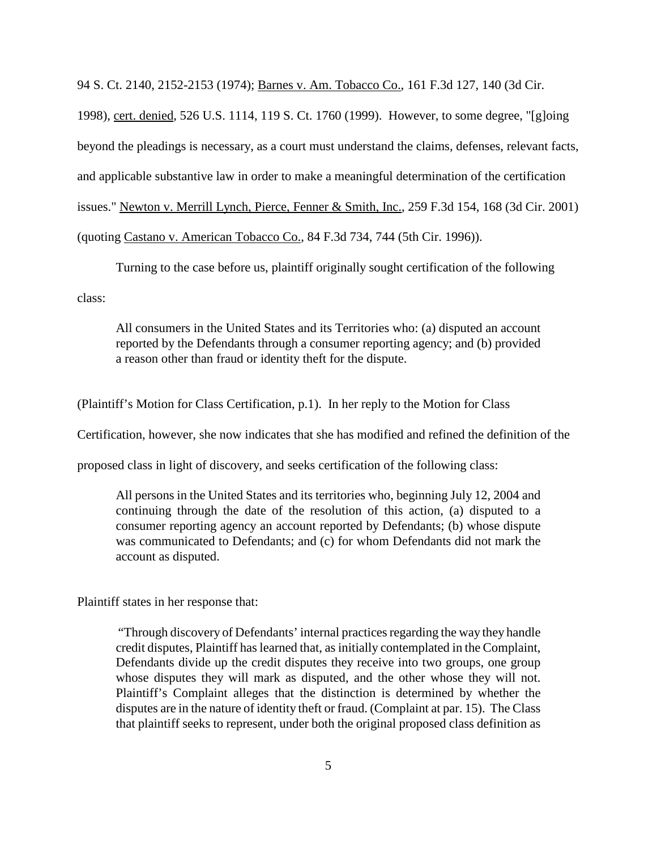94 S. Ct. 2140, 2152-2153 (1974); Barnes v. Am. Tobacco Co., 161 F.3d 127, 140 (3d Cir.

1998), cert. denied, 526 U.S. 1114, 119 S. Ct. 1760 (1999). However, to some degree, "[g]oing beyond the pleadings is necessary, as a court must understand the claims, defenses, relevant facts, and applicable substantive law in order to make a meaningful determination of the certification issues." Newton v. Merrill Lynch, Pierce, Fenner & Smith, Inc., 259 F.3d 154, 168 (3d Cir. 2001) (quoting Castano v. American Tobacco Co., 84 F.3d 734, 744 (5th Cir. 1996)).

Turning to the case before us, plaintiff originally sought certification of the following

class:

All consumers in the United States and its Territories who: (a) disputed an account reported by the Defendants through a consumer reporting agency; and (b) provided a reason other than fraud or identity theft for the dispute.

(Plaintiff's Motion for Class Certification, p.1). In her reply to the Motion for Class

Certification, however, she now indicates that she has modified and refined the definition of the

proposed class in light of discovery, and seeks certification of the following class:

All persons in the United States and its territories who, beginning July 12, 2004 and continuing through the date of the resolution of this action, (a) disputed to a consumer reporting agency an account reported by Defendants; (b) whose dispute was communicated to Defendants; and (c) for whom Defendants did not mark the account as disputed.

Plaintiff states in her response that:

"Through discovery of Defendants' internal practicesregarding the way they handle credit disputes, Plaintiff haslearned that, as initially contemplated in the Complaint, Defendants divide up the credit disputes they receive into two groups, one group whose disputes they will mark as disputed, and the other whose they will not. Plaintiff's Complaint alleges that the distinction is determined by whether the disputes are in the nature of identity theft or fraud. (Complaint at par. 15). The Class that plaintiff seeks to represent, under both the original proposed class definition as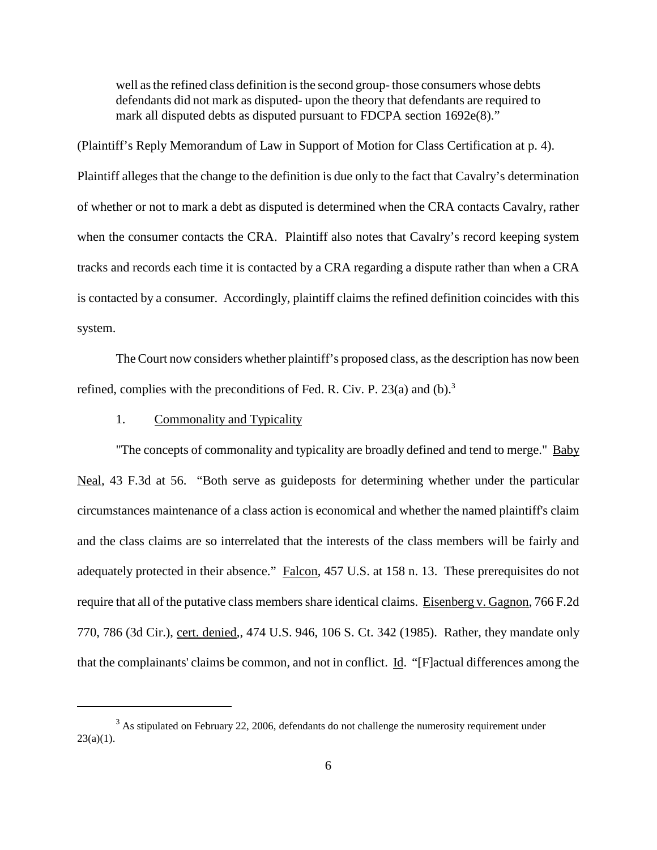well as the refined class definition is the second group- those consumers whose debts defendants did not mark as disputed- upon the theory that defendants are required to mark all disputed debts as disputed pursuant to FDCPA section 1692e(8)."

(Plaintiff's Reply Memorandum of Law in Support of Motion for Class Certification at p. 4). Plaintiff alleges that the change to the definition is due only to the fact that Cavalry's determination of whether or not to mark a debt as disputed is determined when the CRA contacts Cavalry, rather when the consumer contacts the CRA. Plaintiff also notes that Cavalry's record keeping system tracks and records each time it is contacted by a CRA regarding a dispute rather than when a CRA is contacted by a consumer. Accordingly, plaintiff claims the refined definition coincides with this system.

The Court now considers whether plaintiff's proposed class, as the description has now been refined, complies with the preconditions of Fed. R. Civ. P.  $23(a)$  and (b).<sup>3</sup>

## 1. Commonality and Typicality

"The concepts of commonality and typicality are broadly defined and tend to merge." Baby Neal, 43 F.3d at 56. "Both serve as guideposts for determining whether under the particular circumstances maintenance of a class action is economical and whether the named plaintiff's claim and the class claims are so interrelated that the interests of the class members will be fairly and adequately protected in their absence." Falcon, 457 U.S. at 158 n. 13. These prerequisites do not require that all of the putative class members share identical claims. Eisenberg v. Gagnon, 766 F.2d 770, 786 (3d Cir.), cert. denied,, 474 U.S. 946, 106 S. Ct. 342 (1985). Rather, they mandate only that the complainants' claims be common, and not in conflict. Id. "[F]actual differences among the

 $3$  As stipulated on February 22, 2006, defendants do not challenge the numerosity requirement under  $23(a)(1)$ .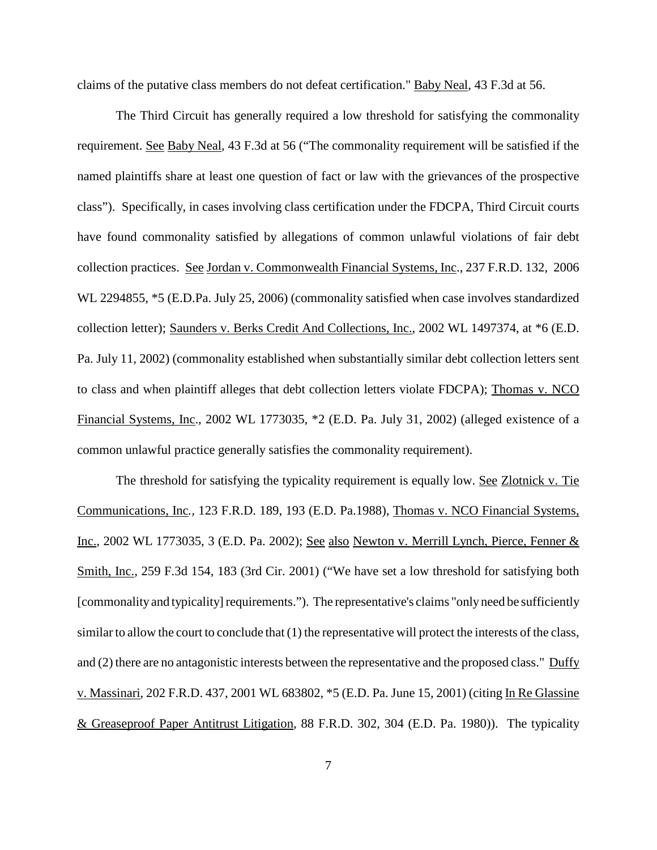claims of the putative class members do not defeat certification." Baby Neal, 43 F.3d at 56.

The Third Circuit has generally required a low threshold for satisfying the commonality requirement. See Baby Neal, 43 F.3d at 56 ("The commonality requirement will be satisfied if the named plaintiffs share at least one question of fact or law with the grievances of the prospective class"). Specifically, in cases involving class certification under the FDCPA, Third Circuit courts have found commonality satisfied by allegations of common unlawful violations of fair debt collection practices. See Jordan v. Commonwealth Financial Systems, Inc., 237 F.R.D. 132, 2006 WL 2294855, \*5 (E.D.Pa. July 25, 2006) (commonality satisfied when case involves standardized collection letter); Saunders v. Berks Credit And Collections, Inc., 2002 WL 1497374, at \*6 (E.D. Pa. July 11, 2002) (commonality established when substantially similar debt collection letters sent to class and when plaintiff alleges that debt collection letters violate FDCPA); Thomas v. NCO Financial Systems, Inc., 2002 WL 1773035, \*2 (E.D. Pa. July 31, 2002) (alleged existence of a common unlawful practice generally satisfies the commonality requirement).

The threshold for satisfying the typicality requirement is equally low. See Zlotnick v. Tie Communications, Inc*.,* 123 F.R.D. 189, 193 (E.D. Pa.1988), Thomas v. NCO Financial Systems, Inc., 2002 WL 1773035, 3 (E.D. Pa. 2002); See also Newton v. Merrill Lynch, Pierce, Fenner & Smith, Inc., 259 F.3d 154, 183 (3rd Cir. 2001) ("We have set a low threshold for satisfying both [commonality and typicality] requirements."). The representative's claims "only need be sufficiently similar to allow the court to conclude that (1) the representative will protect the interests of the class, and (2) there are no antagonistic interests between the representative and the proposed class." Duffy v. Massinari, 202 F.R.D. 437, 2001 WL 683802, \*5 (E.D. Pa. June 15, 2001) (citing In Re Glassine & Greaseproof Paper Antitrust Litigation, 88 F.R.D. 302, 304 (E.D. Pa. 1980)). The typicality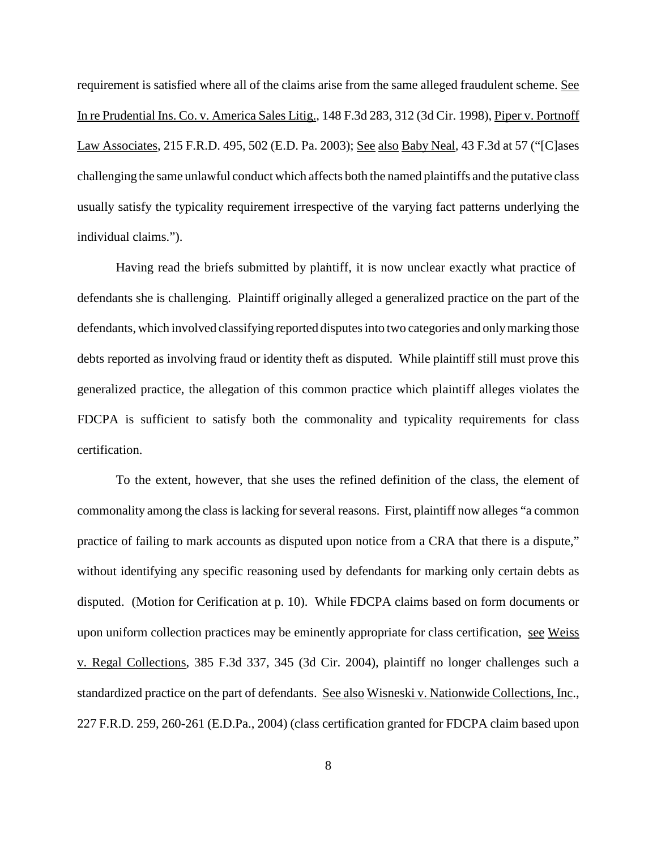requirement is satisfied where all of the claims arise from the same alleged fraudulent scheme. See In re Prudential Ins. Co. v. America Sales Litig.*,* 148 F.3d 283, 312 (3d Cir. 1998), Piper v. Portnoff Law Associates, 215 F.R.D. 495, 502 (E.D. Pa. 2003); See also Baby Neal*,* 43 F.3d at 57 ("[C]ases challenging the same unlawful conduct which affects both the named plaintiffs and the putative class usually satisfy the typicality requirement irrespective of the varying fact patterns underlying the individual claims.").

Having read the briefs submitted by plaintiff, it is now unclear exactly what practice of defendants she is challenging. Plaintiff originally alleged a generalized practice on the part of the defendants, which involved classifying reported disputesinto two categories and onlymarking those debts reported as involving fraud or identity theft as disputed. While plaintiff still must prove this generalized practice, the allegation of this common practice which plaintiff alleges violates the FDCPA is sufficient to satisfy both the commonality and typicality requirements for class certification.

To the extent, however, that she uses the refined definition of the class, the element of commonality among the class is lacking for several reasons. First, plaintiff now alleges "a common practice of failing to mark accounts as disputed upon notice from a CRA that there is a dispute," without identifying any specific reasoning used by defendants for marking only certain debts as disputed. (Motion for Cerification at p. 10). While FDCPA claims based on form documents or upon uniform collection practices may be eminently appropriate for class certification, see Weiss v. Regal Collections, 385 F.3d 337, 345 (3d Cir. 2004), plaintiff no longer challenges such a standardized practice on the part of defendants. See also Wisneski v. Nationwide Collections, Inc., 227 F.R.D. 259, 260-261 (E.D.Pa., 2004) (class certification granted for FDCPA claim based upon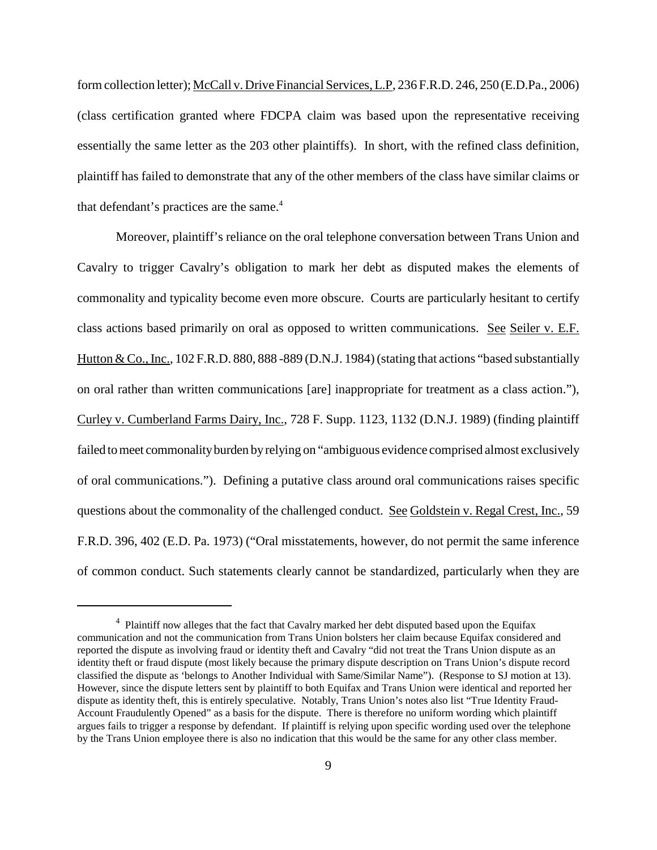formcollection letter); McCall v. Drive Financial Services,L.P, 236 F.R.D. 246, 250 (E.D.Pa., 2006) (class certification granted where FDCPA claim was based upon the representative receiving essentially the same letter as the 203 other plaintiffs). In short, with the refined class definition, plaintiff has failed to demonstrate that any of the other members of the class have similar claims or that defendant's practices are the same.<sup>4</sup>

Moreover, plaintiff's reliance on the oral telephone conversation between Trans Union and Cavalry to trigger Cavalry's obligation to mark her debt as disputed makes the elements of commonality and typicality become even more obscure. Courts are particularly hesitant to certify class actions based primarily on oral as opposed to written communications. See Seiler v. E.F. Hutton & Co., Inc., 102 F.R.D. 880, 888 -889 (D.N.J. 1984) (stating that actions "based substantially on oral rather than written communications [are] inappropriate for treatment as a class action."), Curley v. Cumberland Farms Dairy, Inc., 728 F. Supp. 1123, 1132 (D.N.J. 1989) (finding plaintiff failed to meet commonality burden by relying on "ambiguous evidence comprised almost exclusively of oral communications."). Defining a putative class around oral communications raises specific questions about the commonality of the challenged conduct. See Goldstein v. Regal Crest, Inc., 59 F.R.D. 396, 402 (E.D. Pa. 1973) ("Oral misstatements, however, do not permit the same inference of common conduct. Such statements clearly cannot be standardized, particularly when they are

<sup>&</sup>lt;sup>4</sup> Plaintiff now alleges that the fact that Cavalry marked her debt disputed based upon the Equifax communication and not the communication from Trans Union bolsters her claim because Equifax considered and reported the dispute as involving fraud or identity theft and Cavalry "did not treat the Trans Union dispute as an identity theft or fraud dispute (most likely because the primary dispute description on Trans Union's dispute record classified the dispute as 'belongs to Another Individual with Same/Similar Name"). (Response to SJ motion at 13). However, since the dispute letters sent by plaintiff to both Equifax and Trans Union were identical and reported her dispute as identity theft, this is entirely speculative. Notably, Trans Union's notes also list "True Identity Fraud-Account Fraudulently Opened" as a basis for the dispute. There is therefore no uniform wording which plaintiff argues fails to trigger a response by defendant. If plaintiff is relying upon specific wording used over the telephone by the Trans Union employee there is also no indication that this would be the same for any other class member.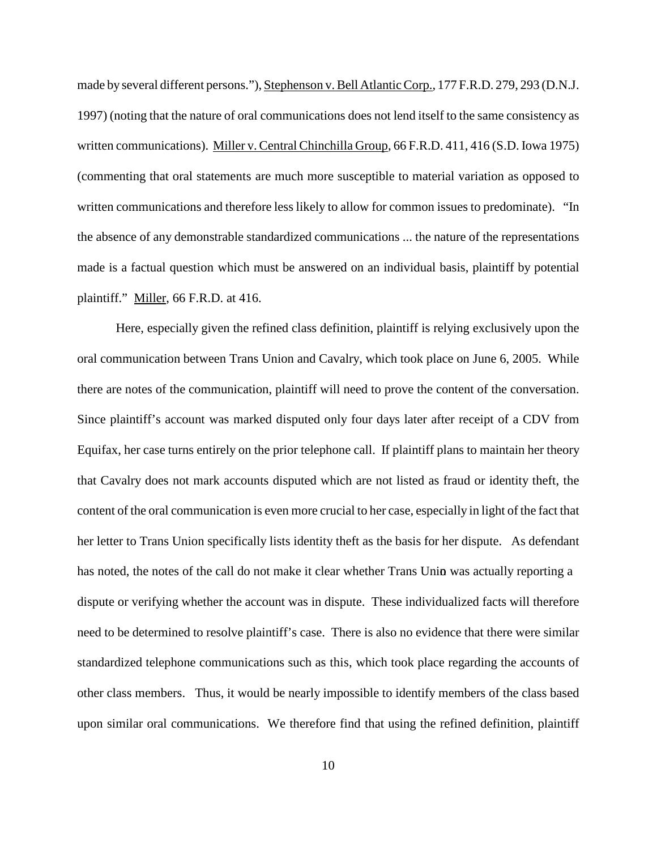made by several different persons."), Stephenson v. Bell Atlantic Corp., 177 F.R.D. 279, 293 (D.N.J. 1997) (noting that the nature of oral communications does not lend itself to the same consistency as written communications). Miller v. Central Chinchilla Group*,* 66 F.R.D. 411, 416 (S.D. Iowa 1975) (commenting that oral statements are much more susceptible to material variation as opposed to written communications and therefore less likely to allow for common issues to predominate). "In the absence of any demonstrable standardized communications ... the nature of the representations made is a factual question which must be answered on an individual basis, plaintiff by potential plaintiff." Miller, 66 F.R.D. at 416.

Here, especially given the refined class definition, plaintiff is relying exclusively upon the oral communication between Trans Union and Cavalry, which took place on June 6, 2005. While there are notes of the communication, plaintiff will need to prove the content of the conversation. Since plaintiff's account was marked disputed only four days later after receipt of a CDV from Equifax, her case turns entirely on the prior telephone call. If plaintiff plans to maintain her theory that Cavalry does not mark accounts disputed which are not listed as fraud or identity theft, the content of the oral communication is even more crucial to her case, especially in light of the fact that her letter to Trans Union specifically lists identity theft as the basis for her dispute. As defendant has noted, the notes of the call do not make it clear whether Trans Union was actually reporting a dispute or verifying whether the account was in dispute. These individualized facts will therefore need to be determined to resolve plaintiff's case. There is also no evidence that there were similar standardized telephone communications such as this, which took place regarding the accounts of other class members. Thus, it would be nearly impossible to identify members of the class based upon similar oral communications. We therefore find that using the refined definition, plaintiff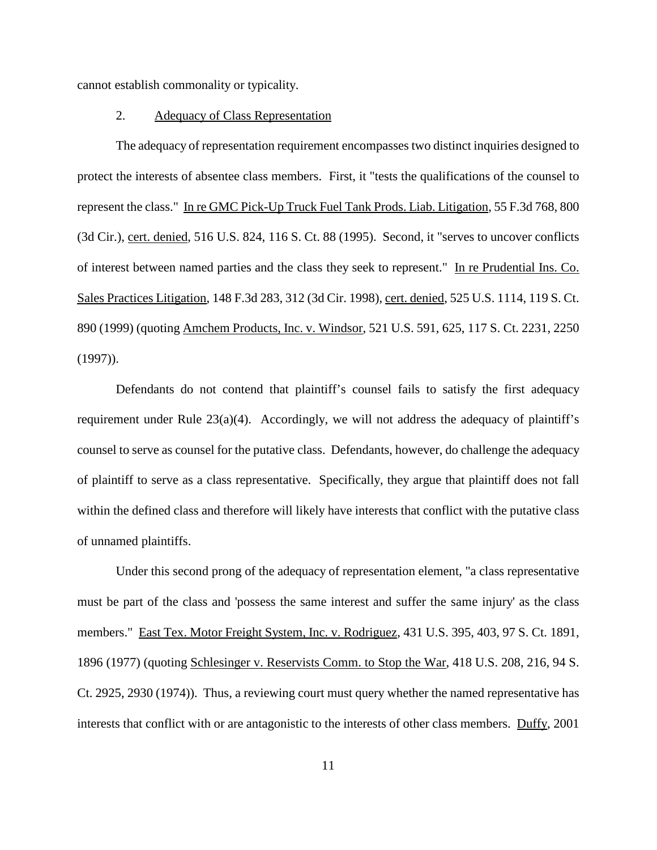cannot establish commonality or typicality.

#### 2. Adequacy of Class Representation

The adequacy of representation requirement encompasses two distinct inquiries designed to protect the interests of absentee class members. First, it "tests the qualifications of the counsel to represent the class." In re GMC Pick-Up Truck Fuel Tank Prods. Liab. Litigation, 55 F.3d 768, 800 (3d Cir.), cert. denied, 516 U.S. 824, 116 S. Ct. 88 (1995). Second, it "serves to uncover conflicts of interest between named parties and the class they seek to represent." In re Prudential Ins. Co. Sales Practices Litigation, 148 F.3d 283, 312 (3d Cir. 1998), cert. denied, 525 U.S. 1114, 119 S. Ct. 890 (1999) (quoting Amchem Products, Inc. v. Windsor, 521 U.S. 591, 625, 117 S. Ct. 2231, 2250 (1997)).

Defendants do not contend that plaintiff's counsel fails to satisfy the first adequacy requirement under Rule  $23(a)(4)$ . Accordingly, we will not address the adequacy of plaintiff's counsel to serve as counsel for the putative class. Defendants, however, do challenge the adequacy of plaintiff to serve as a class representative. Specifically, they argue that plaintiff does not fall within the defined class and therefore will likely have interests that conflict with the putative class of unnamed plaintiffs.

Under this second prong of the adequacy of representation element, "a class representative must be part of the class and 'possess the same interest and suffer the same injury' as the class members." East Tex. Motor Freight System, Inc. v. Rodriguez, 431 U.S. 395, 403, 97 S. Ct. 1891, 1896 (1977) (quoting Schlesinger v. Reservists Comm. to Stop the War, 418 U.S. 208, 216, 94 S. Ct. 2925, 2930 (1974)). Thus, a reviewing court must query whether the named representative has interests that conflict with or are antagonistic to the interests of other class members. Duffy*,* 2001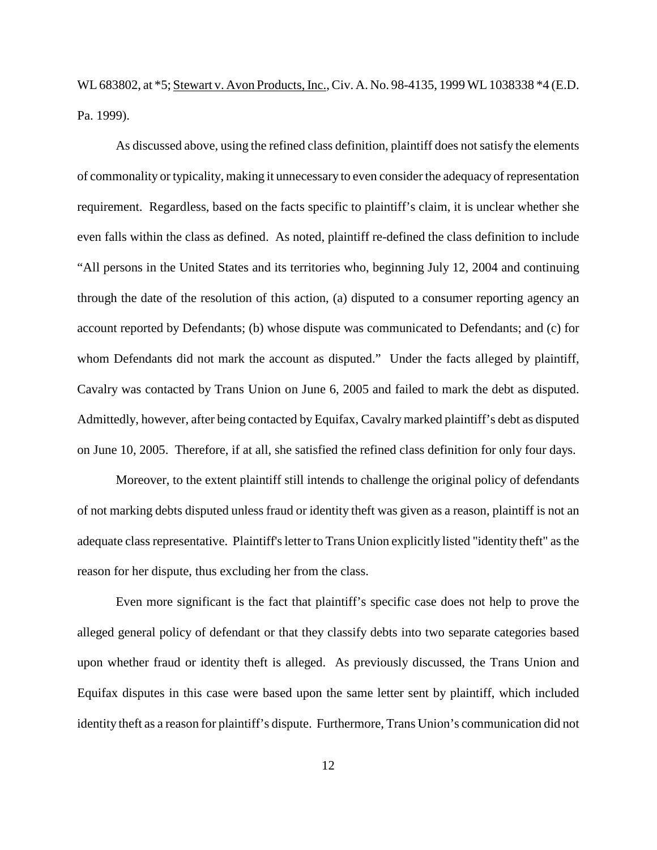WL 683802, at \*5; Stewart v. Avon Products, Inc., Civ. A. No. 98-4135, 1999 WL 1038338 \*4 (E.D. Pa. 1999).

As discussed above, using the refined class definition, plaintiff does notsatisfy the elements of commonality or typicality, making it unnecessary to even consider the adequacy of representation requirement. Regardless, based on the facts specific to plaintiff's claim, it is unclear whether she even falls within the class as defined. As noted, plaintiff re-defined the class definition to include "All persons in the United States and its territories who, beginning July 12, 2004 and continuing through the date of the resolution of this action, (a) disputed to a consumer reporting agency an account reported by Defendants; (b) whose dispute was communicated to Defendants; and (c) for whom Defendants did not mark the account as disputed." Under the facts alleged by plaintiff, Cavalry was contacted by Trans Union on June 6, 2005 and failed to mark the debt as disputed. Admittedly, however, after being contacted by Equifax, Cavalry marked plaintiff's debt as disputed on June 10, 2005. Therefore, if at all, she satisfied the refined class definition for only four days.

Moreover, to the extent plaintiff still intends to challenge the original policy of defendants of not marking debts disputed unless fraud or identity theft was given as a reason, plaintiff is not an adequate class representative. Plaintiff's letter to Trans Union explicitly listed "identity theft" as the reason for her dispute, thus excluding her from the class.

Even more significant is the fact that plaintiff's specific case does not help to prove the alleged general policy of defendant or that they classify debts into two separate categories based upon whether fraud or identity theft is alleged. As previously discussed, the Trans Union and Equifax disputes in this case were based upon the same letter sent by plaintiff, which included identity theft as a reason for plaintiff's dispute. Furthermore, Trans Union's communication did not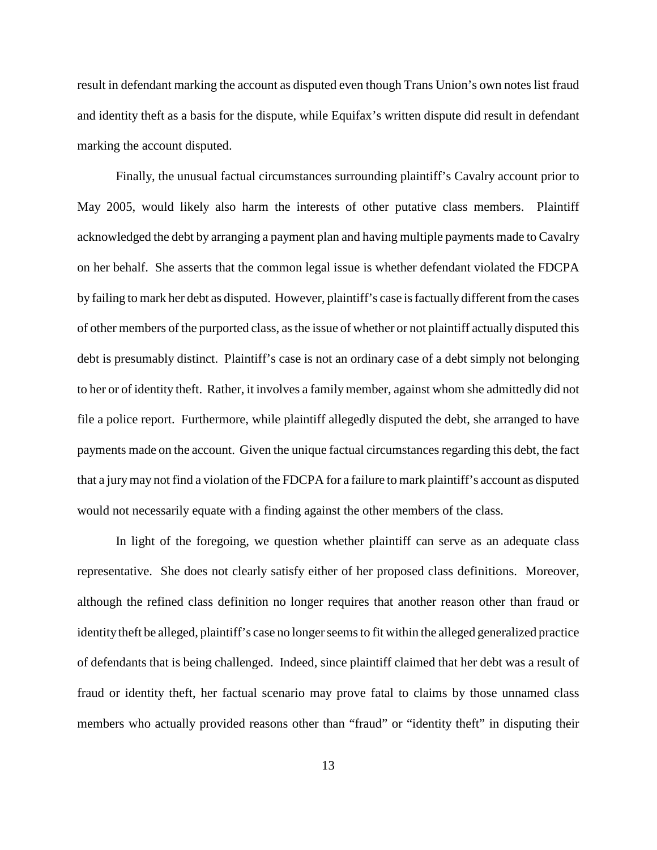result in defendant marking the account as disputed even though Trans Union's own notes list fraud and identity theft as a basis for the dispute, while Equifax's written dispute did result in defendant marking the account disputed.

Finally, the unusual factual circumstances surrounding plaintiff's Cavalry account prior to May 2005, would likely also harm the interests of other putative class members. Plaintiff acknowledged the debt by arranging a payment plan and having multiple payments made to Cavalry on her behalf. She asserts that the common legal issue is whether defendant violated the FDCPA by failing to mark her debt as disputed. However, plaintiff's case is factually different from the cases of other members of the purported class, asthe issue of whether or not plaintiff actually disputed this debt is presumably distinct. Plaintiff's case is not an ordinary case of a debt simply not belonging to her or of identity theft. Rather, it involves a family member, against whom she admittedly did not file a police report. Furthermore, while plaintiff allegedly disputed the debt, she arranged to have payments made on the account. Given the unique factual circumstances regarding this debt, the fact that a jurymay not find a violation of the FDCPA for a failure to mark plaintiff's account as disputed would not necessarily equate with a finding against the other members of the class.

In light of the foregoing, we question whether plaintiff can serve as an adequate class representative. She does not clearly satisfy either of her proposed class definitions. Moreover, although the refined class definition no longer requires that another reason other than fraud or identity theft be alleged, plaintiff's case no longer seems to fit within the alleged generalized practice of defendants that is being challenged. Indeed, since plaintiff claimed that her debt was a result of fraud or identity theft, her factual scenario may prove fatal to claims by those unnamed class members who actually provided reasons other than "fraud" or "identity theft" in disputing their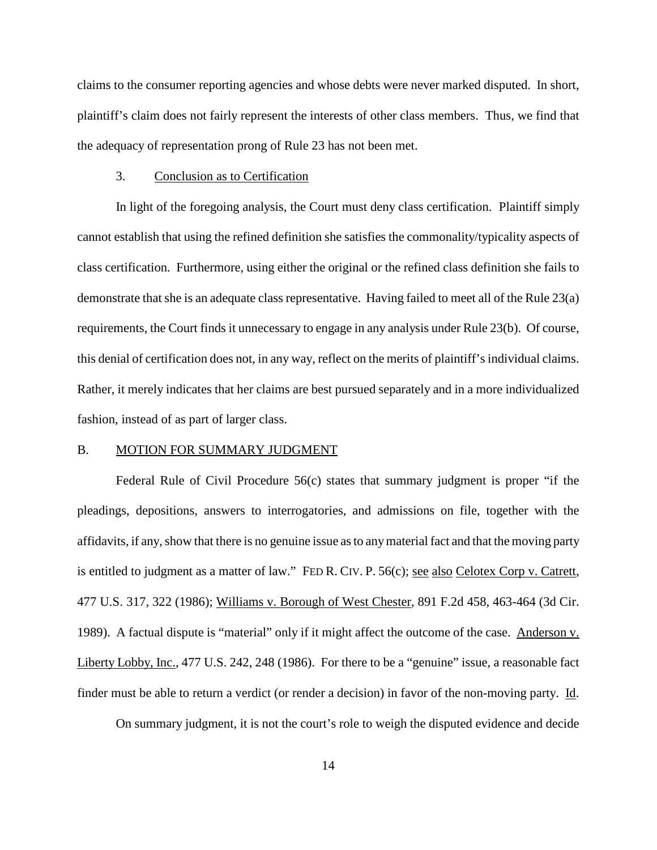claims to the consumer reporting agencies and whose debts were never marked disputed. In short, plaintiff's claim does not fairly represent the interests of other class members. Thus, we find that the adequacy of representation prong of Rule 23 has not been met.

## 3. Conclusion as to Certification

In light of the foregoing analysis, the Court must deny class certification. Plaintiff simply cannot establish that using the refined definition she satisfies the commonality/typicality aspects of class certification. Furthermore, using either the original or the refined class definition she fails to demonstrate that she is an adequate class representative. Having failed to meet all of the Rule 23(a) requirements, the Court finds it unnecessary to engage in any analysis under Rule 23(b). Of course, this denial of certification does not, in any way, reflect on the merits of plaintiff's individual claims. Rather, it merely indicates that her claims are best pursued separately and in a more individualized fashion, instead of as part of larger class.

### B. MOTION FOR SUMMARY JUDGMENT

Federal Rule of Civil Procedure 56(c) states that summary judgment is proper "if the pleadings, depositions, answers to interrogatories, and admissions on file, together with the affidavits, if any,show that there is no genuine issue asto anymaterial fact and that the moving party is entitled to judgment as a matter of law." FED R. CIV. P. 56(c); see also Celotex Corp v. Catrett, 477 U.S. 317, 322 (1986); Williams v. Borough of West Chester, 891 F.2d 458, 463-464 (3d Cir. 1989). A factual dispute is "material" only if it might affect the outcome of the case. Anderson v. Liberty Lobby, Inc., 477 U.S. 242, 248 (1986). For there to be a "genuine" issue, a reasonable fact finder must be able to return a verdict (or render a decision) in favor of the non-moving party. Id.

On summary judgment, it is not the court's role to weigh the disputed evidence and decide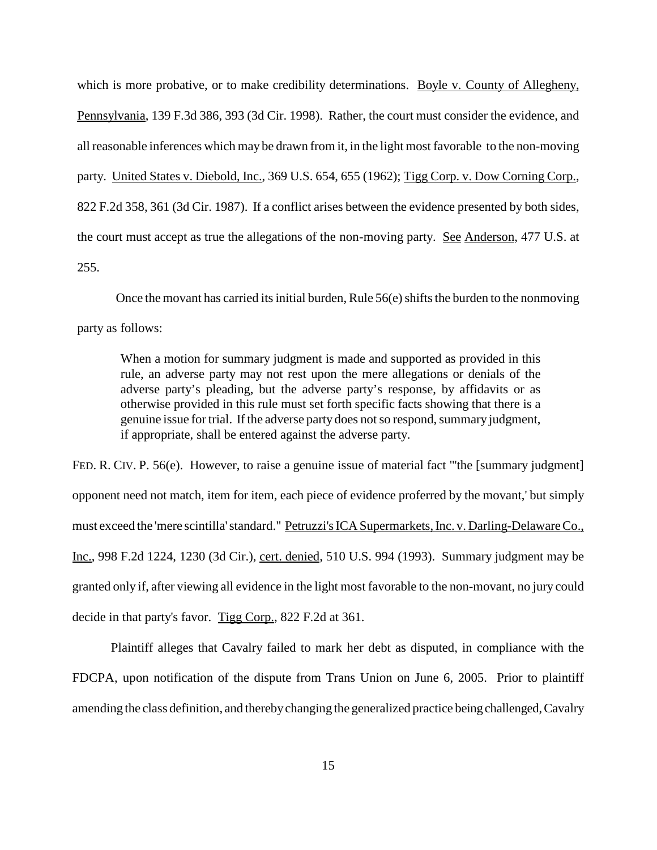which is more probative, or to make credibility determinations. Boyle v. County of Allegheny, Pennsylvania, 139 F.3d 386, 393 (3d Cir. 1998). Rather, the court must consider the evidence, and all reasonable inferences which may be drawn from it, in the light most favorable to the non-moving party. United States v. Diebold, Inc., 369 U.S. 654, 655 (1962); Tigg Corp. v. Dow Corning Corp., 822 F.2d 358, 361 (3d Cir. 1987). If a conflict arises between the evidence presented by both sides, the court must accept as true the allegations of the non-moving party. See Anderson, 477 U.S. at 255.

Once the movant has carried its initial burden, Rule  $56(e)$  shifts the burden to the nonmoving party as follows:

When a motion for summary judgment is made and supported as provided in this rule, an adverse party may not rest upon the mere allegations or denials of the adverse party's pleading, but the adverse party's response, by affidavits or as otherwise provided in this rule must set forth specific facts showing that there is a genuine issue for trial. If the adverse party does not so respond, summary judgment, if appropriate, shall be entered against the adverse party.

FED. R. CIV. P. 56(e). However, to raise a genuine issue of material fact "the [summary judgment] opponent need not match, item for item, each piece of evidence proferred by the movant,' but simply must exceed the 'mere scintilla'standard." Petruzzi's ICA Supermarkets, Inc. v. Darling-Delaware Co., Inc., 998 F.2d 1224, 1230 (3d Cir.), cert. denied, 510 U.S. 994 (1993). Summary judgment may be granted only if, after viewing all evidence in the light most favorable to the non-movant, no jury could decide in that party's favor. Tigg Corp., 822 F.2d at 361.

Plaintiff alleges that Cavalry failed to mark her debt as disputed, in compliance with the FDCPA, upon notification of the dispute from Trans Union on June 6, 2005. Prior to plaintiff amending the class definition, and therebychanging the generalized practice being challenged, Cavalry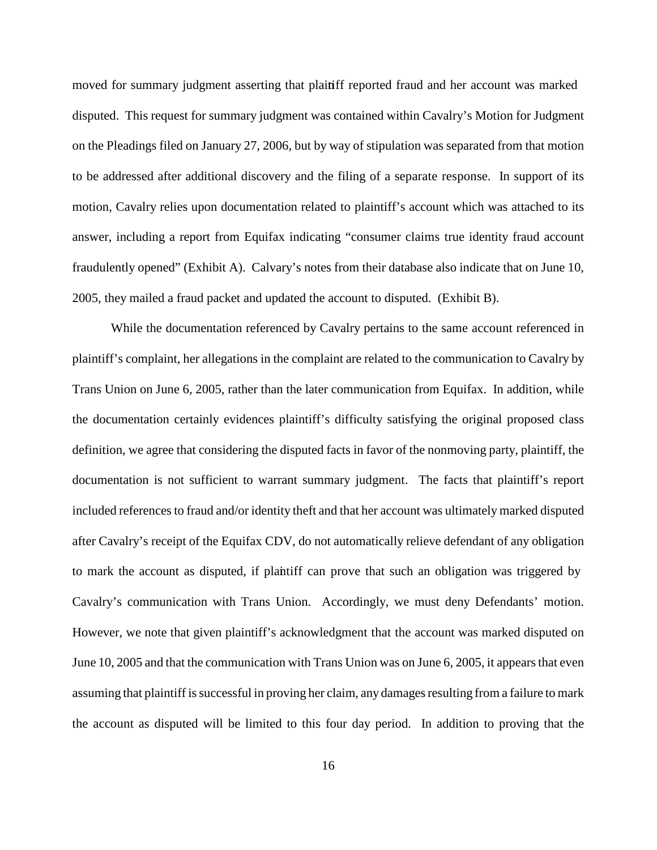moved for summary judgment asserting that plaitiff reported fraud and her account was marked disputed. This request for summary judgment was contained within Cavalry's Motion for Judgment on the Pleadings filed on January 27, 2006, but by way of stipulation was separated from that motion to be addressed after additional discovery and the filing of a separate response. In support of its motion, Cavalry relies upon documentation related to plaintiff's account which was attached to its answer, including a report from Equifax indicating "consumer claims true identity fraud account fraudulently opened" (Exhibit A). Calvary's notes from their database also indicate that on June 10, 2005, they mailed a fraud packet and updated the account to disputed. (Exhibit B).

While the documentation referenced by Cavalry pertains to the same account referenced in plaintiff's complaint, her allegations in the complaint are related to the communication to Cavalry by Trans Union on June 6, 2005, rather than the later communication from Equifax. In addition, while the documentation certainly evidences plaintiff's difficulty satisfying the original proposed class definition, we agree that considering the disputed facts in favor of the nonmoving party, plaintiff, the documentation is not sufficient to warrant summary judgment. The facts that plaintiff's report included referencesto fraud and/or identity theft and that her account was ultimately marked disputed after Cavalry's receipt of the Equifax CDV, do not automatically relieve defendant of any obligation to mark the account as disputed, if plaintiff can prove that such an obligation was triggered by Cavalry's communication with Trans Union. Accordingly, we must deny Defendants' motion. However, we note that given plaintiff's acknowledgment that the account was marked disputed on June 10, 2005 and that the communication with Trans Union was on June 6, 2005, it appearsthat even assuming that plaintiff is successful in proving her claim, any damages resulting from a failure to mark the account as disputed will be limited to this four day period. In addition to proving that the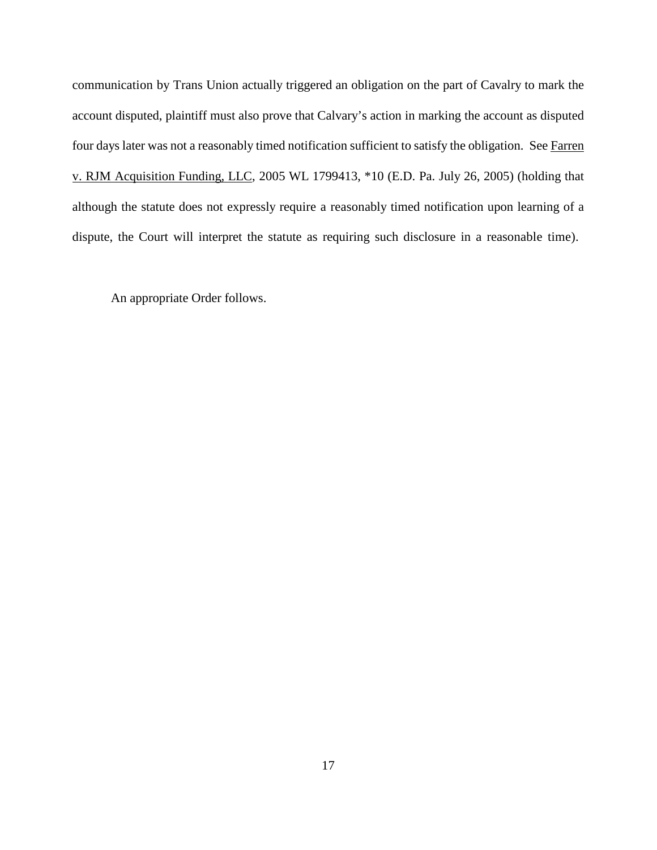communication by Trans Union actually triggered an obligation on the part of Cavalry to mark the account disputed, plaintiff must also prove that Calvary's action in marking the account as disputed four days later was not a reasonably timed notification sufficient to satisfy the obligation. See Farren v. RJM Acquisition Funding, LLC, 2005 WL 1799413, \*10 (E.D. Pa. July 26, 2005) (holding that although the statute does not expressly require a reasonably timed notification upon learning of a dispute, the Court will interpret the statute as requiring such disclosure in a reasonable time).

An appropriate Order follows.